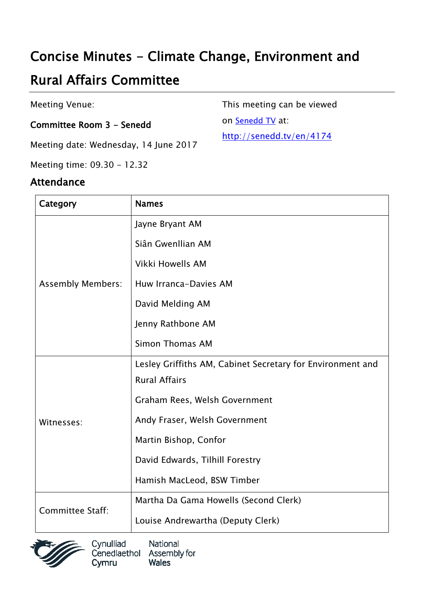# Concise Minutes - Climate Change, Environment and

# Rural Affairs Committee

Meeting Venue:

### Committee Room 3 - Senedd

Meeting date: Wednesday, 14 June 2017

Meeting time: 09.30 - 12.32

### Attendance

This meeting can be viewed

on [Senedd TV](http://senedd.tv/) at:

http://senedd.tv/en/4174

| Category                 | <b>Names</b>                                               |
|--------------------------|------------------------------------------------------------|
| <b>Assembly Members:</b> | Jayne Bryant AM                                            |
|                          | Siân Gwenllian AM                                          |
|                          | <b>Vikki Howells AM</b>                                    |
|                          | Huw Irranca-Davies AM                                      |
|                          | David Melding AM                                           |
|                          | Jenny Rathbone AM                                          |
|                          | Simon Thomas AM                                            |
| Witnesses:               | Lesley Griffiths AM, Cabinet Secretary for Environment and |
|                          | <b>Rural Affairs</b>                                       |
|                          | Graham Rees, Welsh Government                              |
|                          | Andy Fraser, Welsh Government                              |
|                          | Martin Bishop, Confor                                      |
|                          | David Edwards, Tilhill Forestry                            |
|                          | Hamish MacLeod, BSW Timber                                 |
| <b>Committee Staff:</b>  | Martha Da Gama Howells (Second Clerk)                      |
|                          | Louise Andrewartha (Deputy Clerk)                          |



Cynulliad National Cenedlaethol Assembly for **Wales** Cymru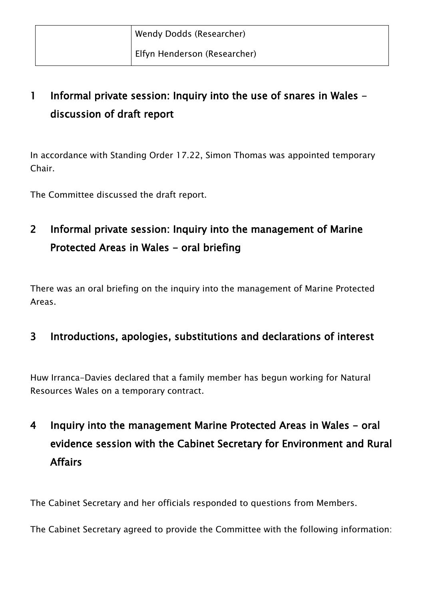## 1 Informal private session: Inquiry into the use of snares in Wales discussion of draft report

In accordance with Standing Order 17.22, Simon Thomas was appointed temporary Chair.

The Committee discussed the draft report.

### 2 Informal private session: Inquiry into the management of Marine Protected Areas in Wales - oral briefing

There was an oral briefing on the inquiry into the management of Marine Protected Areas.

### 3 Introductions, apologies, substitutions and declarations of interest

Huw Irranca-Davies declared that a family member has begun working for Natural Resources Wales on a temporary contract.

## 4 Inquiry into the management Marine Protected Areas in Wales - oral evidence session with the Cabinet Secretary for Environment and Rural Affairs

The Cabinet Secretary and her officials responded to questions from Members.

The Cabinet Secretary agreed to provide the Committee with the following information: